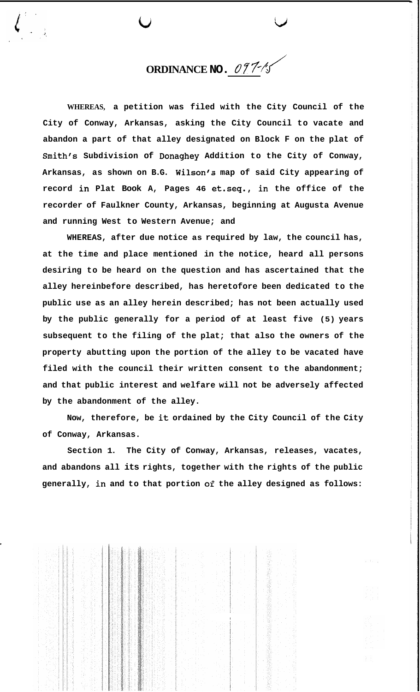**ORDINANCE NO.** *07* ?/ *J* 

 $\overline{\mathbf{u}}$  that  $\overline{\mathbf{v}}$ 

**WHEREAS, a petition was filed with the City Council of the City of Conway, Arkansas, asking the City Council to vacate and abandon a part of that alley designated on Block F on the plat of Smith's Subdivision of Donaghey Addition to the City of Conway, Arkansas, as shown on B.G. Wilson's map of said City appearing of record in Plat Book A, Pages 46 et.seq., in the office of the recorder of Faulkner County, Arkansas, beginning at Augusta Avenue and running West to Western Avenue; and** 

**WHEREAS, after due notice as required by law, the council has, at the time and place mentioned in the notice, heard all persons desiring to be heard on the question and has ascertained that the alley hereinbefore described, has heretofore been dedicated to the public use as an alley herein described; has not been actually used by the public generally for a period of at least five (5) years subsequent to the filing of the plat; that also the owners of the property abutting upon the portion of the alley to be vacated have filed with the council their written consent to the abandonment; and that public interest and welfare will not be adversely affected by the abandonment of the alley.** 

**Now, therefore, be it ordained by the City Council of the City of Conway, Arkansas.** 

**Section 1. The City of Conway, Arkansas, releases, vacates, and abandons all its rights, together with the rights of the public generally, in and to that portion of the alley designed as follows:** 

I